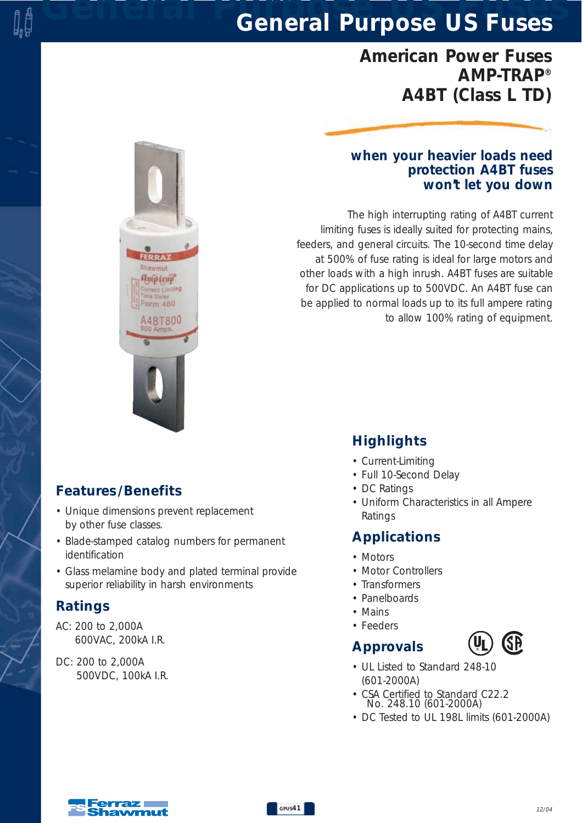## *General Purpose US Fuses General Purpose US Fuses*

## *American Power Fuses AMP-TRAP® A4BT (Class L TD)*

#### *when your heavier loads need protection A4BT fuses won't let you down*

*The high interrupting rating of A4BT current limiting fuses is ideally suited for protecting mains, feeders, and general circuits. The 10-second time delay at 500% of fuse rating is ideal for large motors and other loads with a high inrush. A4BT fuses are suitable for DC applications up to 500VDC. An A4BT fuse can be applied to normal loads up to its full ampere rating to allow 100% rating of equipment.* 

#### *Features /Benefits*

*• Unique dimensions prevent replacement by other fuse classes.*

lawmut **Hnip trap** 

orm 480 **14BT800** 

- *Blade-stamped catalog numbers for permanent identification*
- *Glass melamine body and plated terminal provide superior reliability in harsh environments*

#### *Ratings*

- *AC: 200 to 2,000A 600VAC, 200kA I.R.*
- *DC: 200 to 2,000A 500VDC, 100kA I.R.*

## *Highlights*

- *Current-Limiting*
- *Full 10-Second Delay*
- *DC Ratings*
- *Uniform Characteristics in all Ampere Ratings*

#### *Applications*

- *Motors*
- *Motor Controllers*
- *Transformers*
- *Panelboards*
- *Mains*
- *Feeders*

#### *Approvals*



- *UL Listed to Standard 248-10 (601-2000A)*
- *CSA Certified to Standard C22.2 No. 248.10 (601-2000A)*
- *DC Tested to UL 198L limits (601-2000A)*

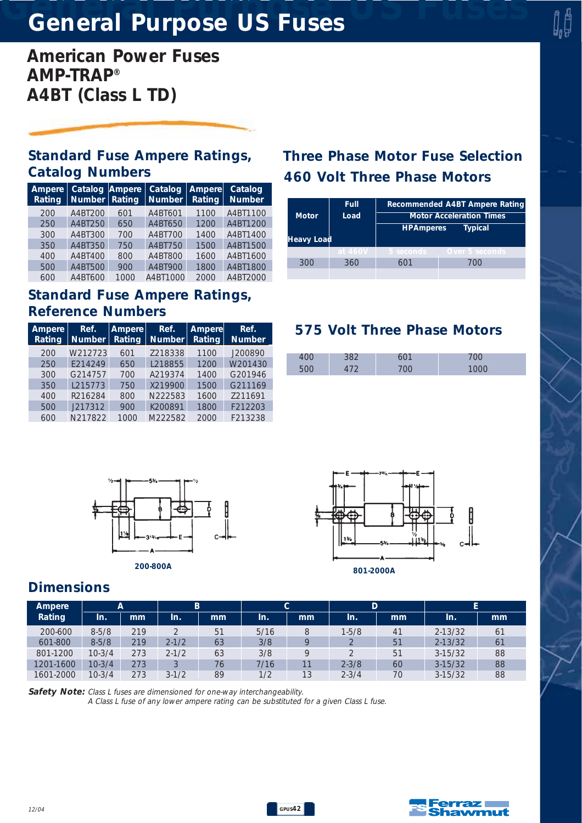# *General Purpose US Fuses General Purpose US Fuses*

*American Power Fuses AMP-TRAP® A4BT (Class L TD)*

#### *Standard Fuse Ampere Ratings, Catalog Numbers 460 Volt Three Phase Motors*

| Ampere<br>Rating | Catalog Ampere<br>Number $ $ | Rating | Catalog<br>Number | Ampere<br><b>Rating</b> | Catalog<br><b>Number</b> |
|------------------|------------------------------|--------|-------------------|-------------------------|--------------------------|
| 200              | A4BT200                      | 601    | A4BT601           | 1100                    | A4BT1100                 |
| 250              | A4BT250                      | 650    | A4BT650           | 1200                    | A4BT1200                 |
| 300              | A4BT300                      | 700    | A4BT700           | 1400                    | A4BT1400                 |
| 350              | A4BT350                      | 750    | A4BT750           | 1500                    | A4BT1500                 |
| 400              | A4BT400                      | 800    | A4BT800           | 1600                    | A4BT1600                 |
| 500              | A4BT500                      | 900    | A4BT900           | 1800                    | A4BT1800                 |
| 600              | A4BT600                      | 1000   | A4BT1000          | 2000                    | A4BT2000                 |

#### *Standard Fuse Ampere Ratings, Reference Numbers*

| Ampere<br>Rating | Ref.<br><b>Number</b> | Ampere<br>Rating | Ref.<br>Number | <b>Ampere</b><br>Rating | Ref.<br><b>Number</b> |
|------------------|-----------------------|------------------|----------------|-------------------------|-----------------------|
| 200              | W212723               | 601              | Z218338        | 1100                    | J200890               |
| 250              | F214249               | 650              | L218855        | 1200                    | W201430               |
| 300              | G214757               | 700              | A219374        | 1400                    | G201946               |
| 350              | L215773               | 750              | X219900        | 1500                    | G211169               |
| 400              | R216284               | 800              | N222583        | 1600                    | 7211691               |
| 500              | J217312               | 900              | K200891        | 1800                    | F212203               |
| 600              | N217822               | 1000             | M222582        | 2000                    | F213238               |

# *Three Phase Motor Fuse Selection*

| <b>Motor</b><br>Heavy Load | Full<br>Load | Recommended A4BT Ampere Rating<br><b>Motor Acceleration Times</b><br><b>HPAmperes</b><br><b>Typical</b> |                |  |  |  |
|----------------------------|--------------|---------------------------------------------------------------------------------------------------------|----------------|--|--|--|
|                            | at 460V      | 5 seconds                                                                                               | Over 5 seconds |  |  |  |
| 300                        | 360          |                                                                                                         | 700            |  |  |  |
|                            |              |                                                                                                         |                |  |  |  |

#### *575 Volt Three Phase Motors*







#### *Dimensions*

| Ampere<br>А |           | B.  |                | C.            |      | D  |           |    |             |                |
|-------------|-----------|-----|----------------|---------------|------|----|-----------|----|-------------|----------------|
| Rating      | In.       | mm  | In.            | <sub>mm</sub> | In.  | mm | In.       | mm | In.         | mm             |
| 200-600     | $8 - 5/8$ | 219 | $\bigcirc$     | 51            | 5/16 | 8  | $1 - 5/8$ | 41 | $2 - 13/32$ | 61             |
| 601-800     | $8 - 5/8$ | 219 | $2 - 1/2$      | 63            | 3/8  |    |           | 51 | $2 - 13/32$ | 6 <sup>1</sup> |
| 801-1200    | $10-3/4$  | 273 | $2 - 1/2$      | 63            | 3/8  |    |           | 51 | $3-15/32$   | 88             |
| 1201-1600   | $10-3/4$  | 273 | $\overline{a}$ | 76            | 7/16 |    | $2 - 3/8$ | 60 | $3-15/32$   | 88             |
| 1601-2000   | $10-3/4$  | 273 | $3-1/2$        | 89            | 1/2  | 13 | $2 - 3/4$ | 70 | $3-15/32$   | 88             |

*Safety Note: Class L fuses are dimensioned for one-way interchangeability.* 

*A Class L fuse of any lower ampere rating can be substituted for a given Class L fuse.*